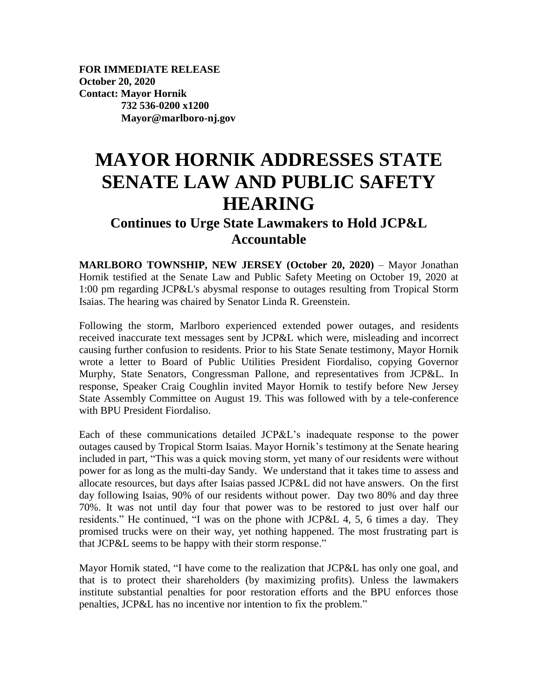**FOR IMMEDIATE RELEASE October 20, 2020 Contact: Mayor Hornik 732 536-0200 x1200 Mayor@marlboro-nj.gov**

## **MAYOR HORNIK ADDRESSES STATE SENATE LAW AND PUBLIC SAFETY HEARING**

## **Continues to Urge State Lawmakers to Hold JCP&L Accountable**

**MARLBORO TOWNSHIP, NEW JERSEY (October 20, 2020)** – Mayor Jonathan Hornik testified at the Senate Law and Public Safety Meeting on October 19, 2020 at 1:00 pm regarding JCP&L's abysmal response to outages resulting from Tropical Storm Isaias. The hearing was chaired by Senator Linda R. Greenstein.

Following the storm, Marlboro experienced extended power outages, and residents received inaccurate text messages sent by JCP&L which were, misleading and incorrect causing further confusion to residents. Prior to his State Senate testimony, Mayor Hornik wrote a letter to Board of Public Utilities President Fiordaliso, copying Governor Murphy, State Senators, Congressman Pallone, and representatives from JCP&L. In response, Speaker Craig Coughlin invited Mayor Hornik to testify before New Jersey State Assembly Committee on August 19. This was followed with by a tele-conference with BPU President Fiordaliso.

Each of these communications detailed JCP&L's inadequate response to the power outages caused by Tropical Storm Isaias. Mayor Hornik's testimony at the Senate hearing included in part, "This was a quick moving storm, yet many of our residents were without power for as long as the multi-day Sandy. We understand that it takes time to assess and allocate resources, but days after Isaias passed JCP&L did not have answers. On the first day following Isaias, 90% of our residents without power. Day two 80% and day three 70%. It was not until day four that power was to be restored to just over half our residents." He continued, "I was on the phone with JCP&L 4, 5, 6 times a day. They promised trucks were on their way, yet nothing happened. The most frustrating part is that JCP&L seems to be happy with their storm response."

Mayor Hornik stated, "I have come to the realization that JCP&L has only one goal, and that is to protect their shareholders (by maximizing profits). Unless the lawmakers institute substantial penalties for poor restoration efforts and the BPU enforces those penalties, JCP&L has no incentive nor intention to fix the problem."